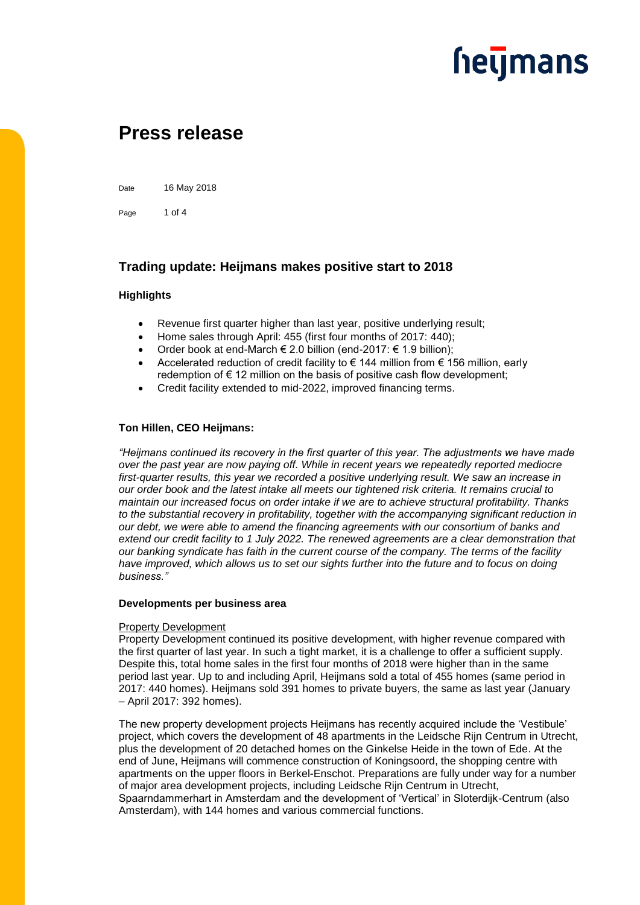

### **Press release**

Date 16 May 2018

Page 1 of 4

### **Trading update: Heijmans makes positive start to 2018**

### **Highlights**

- Revenue first quarter higher than last year, positive underlying result;
- Home sales through April: 455 (first four months of 2017: 440);
- Order book at end-March € 2.0 billion (end-2017: € 1.9 billion);
- Accelerated reduction of credit facility to  $\epsilon$  144 million from  $\epsilon$  156 million, early redemption of  $\epsilon$  12 million on the basis of positive cash flow development;
- Credit facility extended to mid-2022, improved financing terms.

### **Ton Hillen, CEO Heijmans:**

*"Heijmans continued its recovery in the first quarter of this year. The adjustments we have made over the past year are now paying off. While in recent years we repeatedly reported mediocre first-quarter results, this year we recorded a positive underlying result. We saw an increase in our order book and the latest intake all meets our tightened risk criteria. It remains crucial to maintain our increased focus on order intake if we are to achieve structural profitability. Thanks to the substantial recovery in profitability, together with the accompanying significant reduction in our debt, we were able to amend the financing agreements with our consortium of banks and extend our credit facility to 1 July 2022. The renewed agreements are a clear demonstration that our banking syndicate has faith in the current course of the company. The terms of the facility have improved, which allows us to set our sights further into the future and to focus on doing business."*

### **Developments per business area**

### Property Development

Property Development continued its positive development, with higher revenue compared with the first quarter of last year. In such a tight market, it is a challenge to offer a sufficient supply. Despite this, total home sales in the first four months of 2018 were higher than in the same period last year. Up to and including April, Heijmans sold a total of 455 homes (same period in 2017: 440 homes). Heijmans sold 391 homes to private buyers, the same as last year (January – April 2017: 392 homes).

The new property development projects Heijmans has recently acquired include the 'Vestibule' project, which covers the development of 48 apartments in the Leidsche Rijn Centrum in Utrecht, plus the development of 20 detached homes on the Ginkelse Heide in the town of Ede. At the end of June, Heijmans will commence construction of Koningsoord, the shopping centre with apartments on the upper floors in Berkel-Enschot. Preparations are fully under way for a number of major area development projects, including Leidsche Rijn Centrum in Utrecht, Spaarndammerhart in Amsterdam and the development of 'Vertical' in Sloterdijk-Centrum (also Amsterdam), with 144 homes and various commercial functions.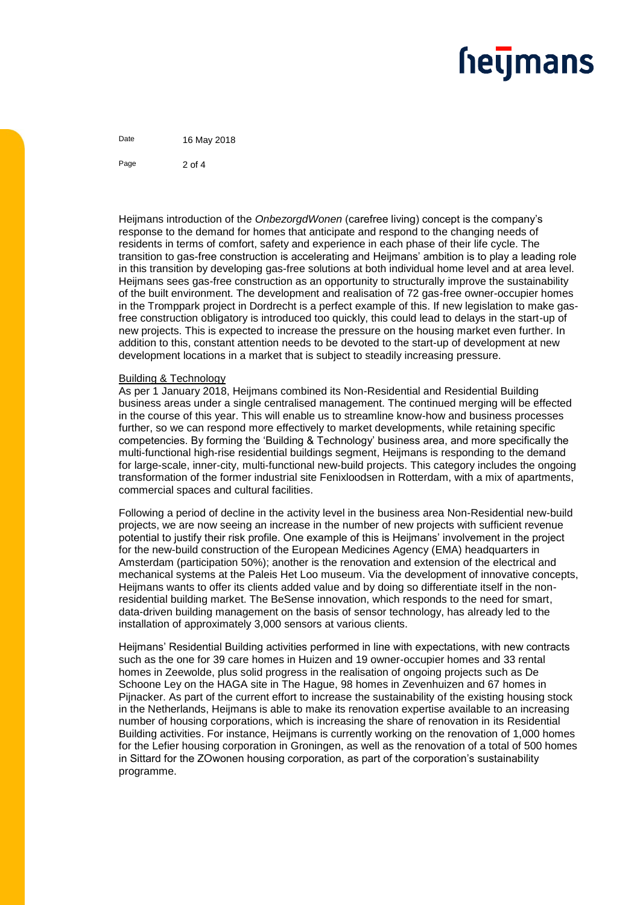### **heymans**

Date 16 May 2018 Page  $2 \text{ of } 4$ 

Heijmans introduction of the *OnbezorgdWonen* (carefree living) concept is the company's response to the demand for homes that anticipate and respond to the changing needs of residents in terms of comfort, safety and experience in each phase of their life cycle. The transition to gas-free construction is accelerating and Heijmans' ambition is to play a leading role in this transition by developing gas-free solutions at both individual home level and at area level. Heijmans sees gas-free construction as an opportunity to structurally improve the sustainability of the built environment. The development and realisation of 72 gas-free owner-occupier homes in the Tromppark project in Dordrecht is a perfect example of this. If new legislation to make gasfree construction obligatory is introduced too quickly, this could lead to delays in the start-up of new projects. This is expected to increase the pressure on the housing market even further. In addition to this, constant attention needs to be devoted to the start-up of development at new development locations in a market that is subject to steadily increasing pressure.

### Building & Technology

As per 1 January 2018, Heijmans combined its Non-Residential and Residential Building business areas under a single centralised management. The continued merging will be effected in the course of this year. This will enable us to streamline know-how and business processes further, so we can respond more effectively to market developments, while retaining specific competencies. By forming the 'Building & Technology' business area, and more specifically the multi-functional high-rise residential buildings segment, Heijmans is responding to the demand for large-scale, inner-city, multi-functional new-build projects. This category includes the ongoing transformation of the former industrial site Fenixloodsen in Rotterdam, with a mix of apartments, commercial spaces and cultural facilities.

Following a period of decline in the activity level in the business area Non-Residential new-build projects, we are now seeing an increase in the number of new projects with sufficient revenue potential to justify their risk profile. One example of this is Heijmans' involvement in the project for the new-build construction of the European Medicines Agency (EMA) headquarters in Amsterdam (participation 50%); another is the renovation and extension of the electrical and mechanical systems at the Paleis Het Loo museum. Via the development of innovative concepts, Heijmans wants to offer its clients added value and by doing so differentiate itself in the nonresidential building market. The BeSense innovation, which responds to the need for smart, data-driven building management on the basis of sensor technology, has already led to the installation of approximately 3,000 sensors at various clients.

Heijmans' Residential Building activities performed in line with expectations, with new contracts such as the one for 39 care homes in Huizen and 19 owner-occupier homes and 33 rental homes in Zeewolde, plus solid progress in the realisation of ongoing projects such as De Schoone Ley on the HAGA site in The Hague, 98 homes in Zevenhuizen and 67 homes in Pijnacker. As part of the current effort to increase the sustainability of the existing housing stock in the Netherlands, Heijmans is able to make its renovation expertise available to an increasing number of housing corporations, which is increasing the share of renovation in its Residential Building activities. For instance, Heijmans is currently working on the renovation of 1,000 homes for the Lefier housing corporation in Groningen, as well as the renovation of a total of 500 homes in Sittard for the ZOwonen housing corporation, as part of the corporation's sustainability programme.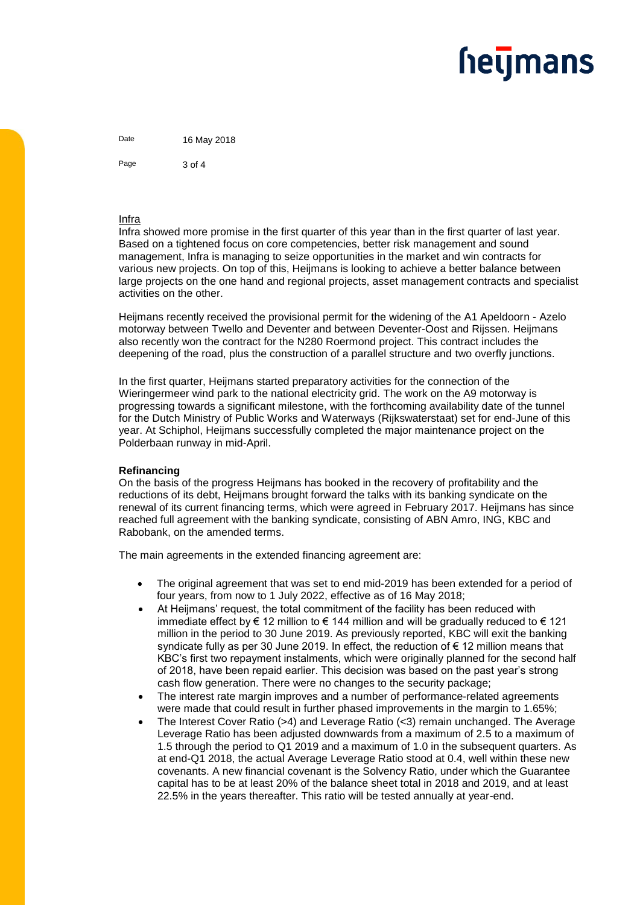# **heymans**

Date 16 May 2018 Page 3 of 4

### Infra

Infra showed more promise in the first quarter of this year than in the first quarter of last year. Based on a tightened focus on core competencies, better risk management and sound management, Infra is managing to seize opportunities in the market and win contracts for various new projects. On top of this, Heijmans is looking to achieve a better balance between large projects on the one hand and regional projects, asset management contracts and specialist activities on the other.

Heijmans recently received the provisional permit for the widening of the A1 Apeldoorn - Azelo motorway between Twello and Deventer and between Deventer-Oost and Rijssen. Heijmans also recently won the contract for the N280 Roermond project. This contract includes the deepening of the road, plus the construction of a parallel structure and two overfly junctions.

In the first quarter, Heijmans started preparatory activities for the connection of the Wieringermeer wind park to the national electricity grid. The work on the A9 motorway is progressing towards a significant milestone, with the forthcoming availability date of the tunnel for the Dutch Ministry of Public Works and Waterways (Rijkswaterstaat) set for end-June of this year. At Schiphol, Heijmans successfully completed the major maintenance project on the Polderbaan runway in mid-April.

### **Refinancing**

On the basis of the progress Heijmans has booked in the recovery of profitability and the reductions of its debt, Heijmans brought forward the talks with its banking syndicate on the renewal of its current financing terms, which were agreed in February 2017. Heijmans has since reached full agreement with the banking syndicate, consisting of ABN Amro, ING, KBC and Rabobank, on the amended terms.

The main agreements in the extended financing agreement are:

- The original agreement that was set to end mid-2019 has been extended for a period of four years, from now to 1 July 2022, effective as of 16 May 2018;
- At Heijmans' request, the total commitment of the facility has been reduced with immediate effect by € 12 million to € 144 million and will be gradually reduced to € 121 million in the period to 30 June 2019. As previously reported, KBC will exit the banking syndicate fully as per 30 June 2019. In effect, the reduction of € 12 million means that KBC's first two repayment instalments, which were originally planned for the second half of 2018, have been repaid earlier. This decision was based on the past year's strong cash flow generation. There were no changes to the security package;
- The interest rate margin improves and a number of performance-related agreements were made that could result in further phased improvements in the margin to 1.65%;
- The Interest Cover Ratio (>4) and Leverage Ratio (<3) remain unchanged. The Average Leverage Ratio has been adjusted downwards from a maximum of 2.5 to a maximum of 1.5 through the period to Q1 2019 and a maximum of 1.0 in the subsequent quarters. As at end-Q1 2018, the actual Average Leverage Ratio stood at 0.4, well within these new covenants. A new financial covenant is the Solvency Ratio, under which the Guarantee capital has to be at least 20% of the balance sheet total in 2018 and 2019, and at least 22.5% in the years thereafter. This ratio will be tested annually at year-end.